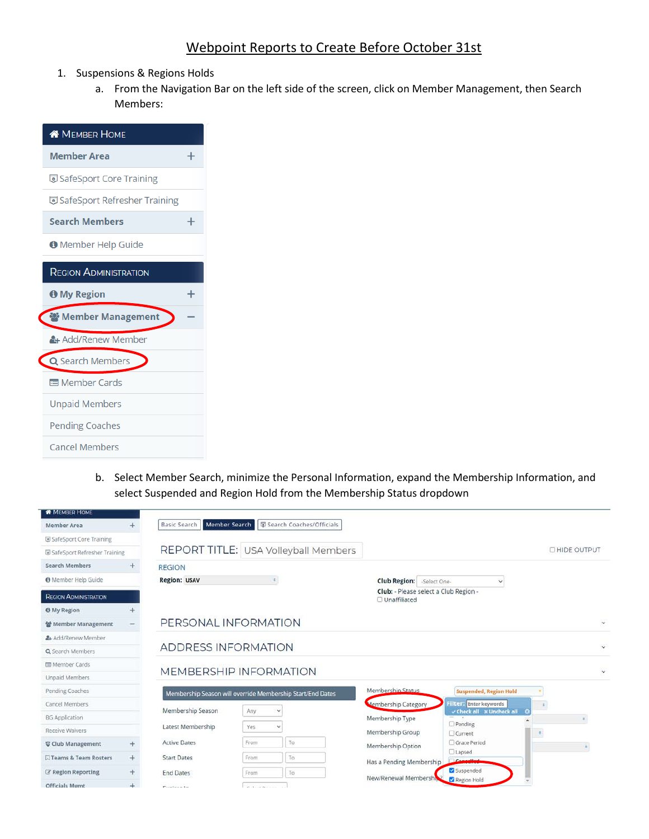- 1. Suspensions & Regions Holds
	- a. From the Navigation Bar on the left side of the screen, click on Member Management, then Search Members:



b. Select Member Search, minimize the Personal Information, expand the Membership Information, and select Suspended and Region Hold from the Membership Status dropdown

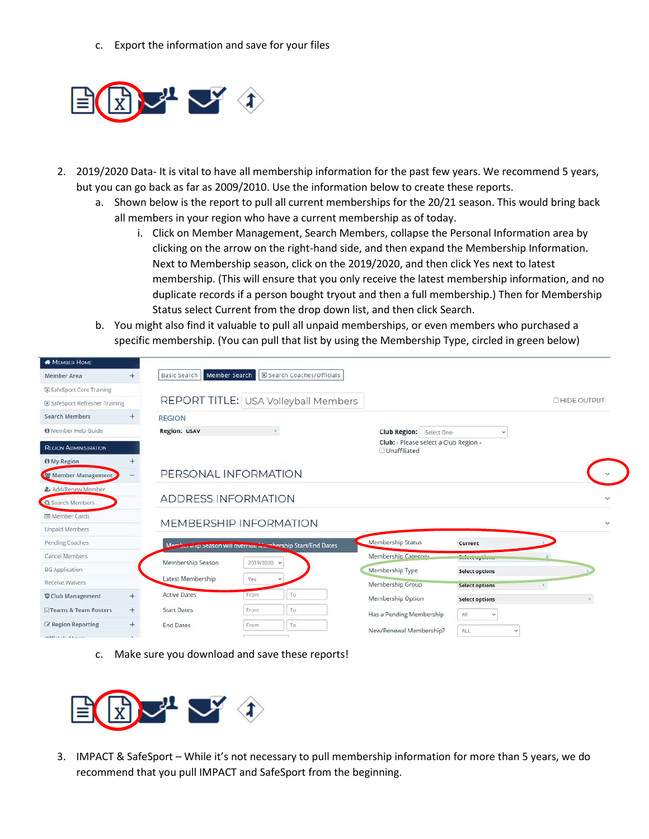c. Export the information and save for your files



- 2. 2019/2020 Data- It is vital to have all membership information for the past few years. We recommend 5 years, but you can go back as far as 2009/2010. Use the information below to create these reports.
	- a. Shown below is the report to pull all current memberships for the 20/21 season. This would bring back all members in your region who have a current membership as of today.
		- i. Click on Member Management, Search Members, collapse the Personal Information area by clicking on the arrow on the right-hand side, and then expand the Membership Information. Next to Membership season, click on the 2019/2020, and then click Yes next to latest membership. (This will ensure that you only receive the latest membership information, and no duplicate records if a person bought tryout and then a full membership.) Then for Membership Status select Current from the drop down list, and then click Search.
	- b. You might also find it valuable to pull all unpaid memberships, or even members who purchased a specific membership. (You can pull that list by using the Membership Type, circled in green below)

| <b><i><u>W</u></i></b> EMBER HOME |        |                               |           |                                                          |                                                         |                       |                     |
|-----------------------------------|--------|-------------------------------|-----------|----------------------------------------------------------|---------------------------------------------------------|-----------------------|---------------------|
| <b>Member Area</b>                |        | Member Search<br>Basic Search |           | Search Coaches/Officials                                 |                                                         |                       |                     |
| SafeSport Core Training           |        |                               |           |                                                          |                                                         |                       |                     |
| SafeSport Refresher Training      |        |                               |           | REPORT TITLE: USA Volleyball Members                     |                                                         |                       | <b>CHIDE OUTPUT</b> |
| <b>Search Members</b>             | $+$    | <b>REGION</b>                 |           |                                                          |                                                         |                       |                     |
| <b>O</b> Member Help Guide        |        | <b>Region: USAV</b>           |           |                                                          | <b>Club Region:</b> -Select One-                        | $\checkmark$          |                     |
| <b>REGION ADMINISTRATION</b>      |        |                               |           |                                                          | Club: - Please select a Club Region -<br>O Unaffiliated |                       |                     |
| <b>O</b> My Region                |        |                               |           |                                                          |                                                         |                       |                     |
| <b>Member Management</b>          |        | PERSONAL INFORMATION          |           |                                                          |                                                         |                       |                     |
| & Add/Renew Member                |        |                               |           |                                                          |                                                         |                       |                     |
| Q Search Members                  |        | <b>ADDRESS INFORMATION</b>    |           |                                                          |                                                         |                       |                     |
| Member Cards                      |        | MEMBERSHIP INFORMATION        |           |                                                          |                                                         |                       |                     |
| Unpaid Members                    |        |                               |           |                                                          |                                                         |                       |                     |
| Pending Coaches                   |        | <b>March</b>                  |           | En amp beason will overnue with thership Start/End Dates | Membership Status                                       | Current               |                     |
| Cancel Members                    |        | Membership Season             | 2019/2020 | $\checkmark$                                             | Membership Category                                     | Substrations          |                     |
| <b>BG</b> Application             |        |                               |           |                                                          | Membership Type                                         | <b>Select options</b> |                     |
| Receive Waivers                   |        | Latest Membership             | Yes       |                                                          | Membership Group                                        | Select options        |                     |
| Club Management                   | $+$    | <b>Active Dates</b>           | From      | To                                                       | Membership Option                                       | <b>Select options</b> |                     |
| <b>DTeams &amp; Team Rosters</b>  | $+$    | <b>Start Dates</b>            | From      | To                                                       | Has a Pending Membership                                | All<br>$\checkmark$   |                     |
| Region Reporting                  | $^{+}$ | <b>End Dates</b>              | From      | To                                                       | New/Renewal Membership?                                 | ALL.<br>$\checkmark$  |                     |
| $O(EE - 1 - 1 - 1 + 1 -  + 1)$    |        |                               |           |                                                          |                                                         |                       |                     |

## c. Make sure you download and save these reports!



3. IMPACT & SafeSport – While it's not necessary to pull membership information for more than 5 years, we do recommend that you pull IMPACT and SafeSport from the beginning.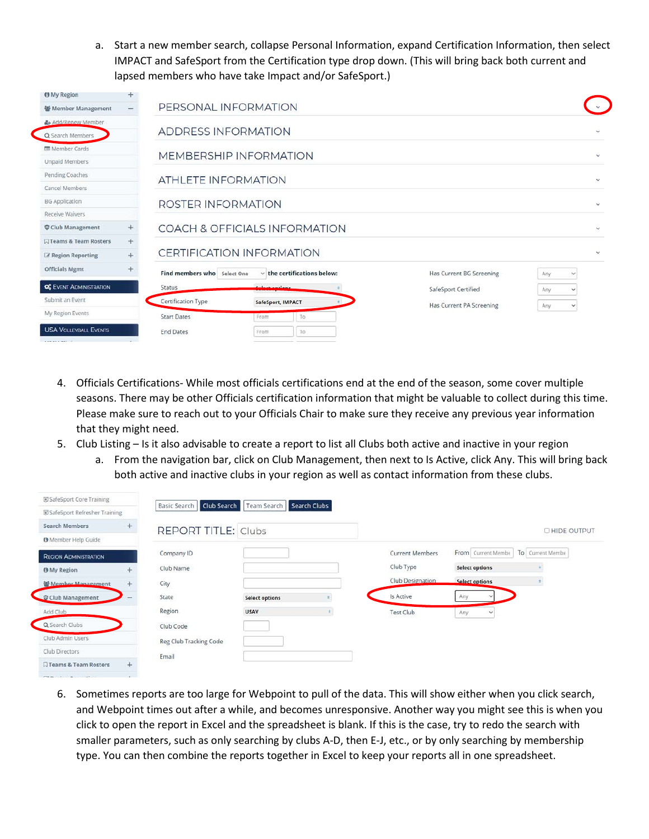a. Start a new member search, collapse Personal Information, expand Certification Information, then select IMPACT and SafeSport from the Certification type drop down. (This will bring back both current and lapsed members who have take Impact and/or SafeSport.)

| <b>O</b> My Region             | ÷   |                               |                                  |                          |                     |              |  |
|--------------------------------|-----|-------------------------------|----------------------------------|--------------------------|---------------------|--------------|--|
| 풀 Member Management            |     | PERSONAL INFORMATION          |                                  |                          |                     |              |  |
| & Add/Renew Member             |     |                               |                                  |                          |                     |              |  |
| Q Search Members               |     | <b>ADDRESS INFORMATION</b>    |                                  |                          |                     |              |  |
| Member Cards                   |     |                               | <b>MEMBERSHIP INFORMATION</b>    |                          |                     | $\sim$       |  |
| Unpaid Members                 |     |                               |                                  |                          |                     |              |  |
| Pending Coaches                |     | <b>ATHLETE INFORMATION</b>    |                                  |                          |                     | $\sim$       |  |
| Cancel Members                 |     |                               |                                  |                          |                     |              |  |
| <b>BG Application</b>          |     | ROSTER INFORMATION<br>$\sim$  |                                  |                          |                     |              |  |
| Receive Waivers                |     |                               |                                  |                          |                     |              |  |
| Club Management                |     | COACH & OFFICIALS INFORMATION |                                  |                          | $\checkmark$        |              |  |
| 贝Teams & Team Rosters          | $+$ |                               |                                  |                          |                     |              |  |
| Region Reporting               | $+$ |                               | <b>CERTIFICATION INFORMATION</b> |                          |                     | $\checkmark$ |  |
| <b>Officials Mgmt</b>          |     | Find members who Select One   | $\vee$ the certifications below: | Has Current BG Screening | $\checkmark$<br>Any |              |  |
| <b>CC</b> EVENT ADMINISTRATION |     | Status                        | colore antique                   | SafeSport Certified      | Any<br>v            |              |  |
| Submit an Event                |     | Certification Type            | SafeSport, IMPACT                | Has Current PA Screening | Any<br>$\checkmark$ |              |  |
| My Region Events               |     | <b>Start Dates</b>            | To<br>From                       |                          |                     |              |  |
| <b>USA VOLLEYBALL EVENTS</b>   |     | <b>End Dates</b>              | To<br>From                       |                          |                     |              |  |

- 4. Officials Certifications- While most officials certifications end at the end of the season, some cover multiple seasons. There may be other Officials certification information that might be valuable to collect during this time. Please make sure to reach out to your Officials Chair to make sure they receive any previous year information that they might need.
- 5. Club Listing Is it also advisable to create a report to list all Clubs both active and inactive in your region
	- a. From the navigation bar, click on Club Management, then next to Is Active, click Any. This will bring back both active and inactive clubs in your region as well as contact information from these clubs.

| SafeSport Core Training                                                                                      |     | Basic Search               | Club Search   Team Search | Search Clubs |                        |                       |                     |
|--------------------------------------------------------------------------------------------------------------|-----|----------------------------|---------------------------|--------------|------------------------|-----------------------|---------------------|
| SafeSport Refresher Training                                                                                 |     |                            |                           |              |                        |                       |                     |
| <b>Search Members</b>                                                                                        | $+$ | <b>REPORT TITLE: Clubs</b> |                           |              |                        |                       | <b>CHIDE OUTPUT</b> |
| <b>O</b> Member Help Guide                                                                                   |     |                            |                           |              |                        |                       |                     |
| <b>REGION ADMINISTRATION</b>                                                                                 |     | Company ID                 |                           |              | <b>Current Members</b> | From Current Membe    | To Current Membe    |
| <b>O</b> My Region                                                                                           |     | Club Name                  |                           |              | Club Type              | <b>Select options</b> |                     |
| <b>蟹 Member Management</b>                                                                                   | $+$ | City                       |                           |              | Club Designation       | Select options        |                     |
| Club Management                                                                                              |     | State                      | <b>Select options</b>     |              | Is Active              | Any                   |                     |
| Add Club                                                                                                     |     | Region                     | <b>USAV</b>               |              | Test Club              | Any                   |                     |
| Q Search Clubs                                                                                               |     | Club Code                  |                           |              |                        |                       |                     |
| Club Admin Users                                                                                             |     | Reg Club Tracking Code     |                           |              |                        |                       |                     |
| Club Directors                                                                                               |     | Email                      |                           |              |                        |                       |                     |
| <b>口 Teams &amp; Team Rosters</b>                                                                            | $+$ |                            |                           |              |                        |                       |                     |
| $\mathcal{L}^{\text{out}}$ is the set of $\mathcal{L}^{\text{out}}$ is the set of $\mathcal{L}^{\text{out}}$ |     |                            |                           |              |                        |                       |                     |

6. Sometimes reports are too large for Webpoint to pull of the data. This will show either when you click search, and Webpoint times out after a while, and becomes unresponsive. Another way you might see this is when you click to open the report in Excel and the spreadsheet is blank. If this is the case, try to redo the search with smaller parameters, such as only searching by clubs A-D, then E-J, etc., or by only searching by membership type. You can then combine the reports together in Excel to keep your reports all in one spreadsheet.